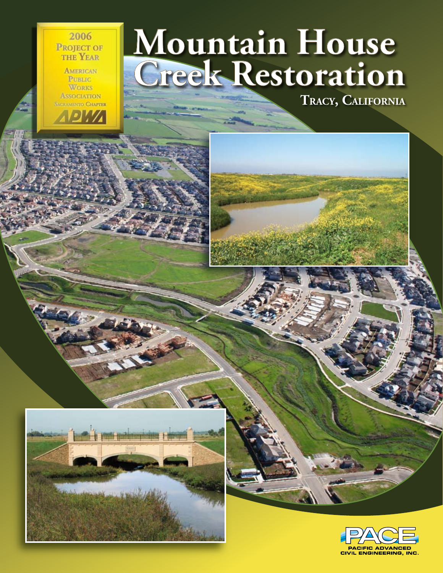2006 **PROJECT OF** THE YEAR

**AMERICAN PUBLIC WORKS ASSOCIATION SACRAMENTO CHAPTER** 

# **Mountain House Creek Restoration**

**TRACY, CALIFORNIA**



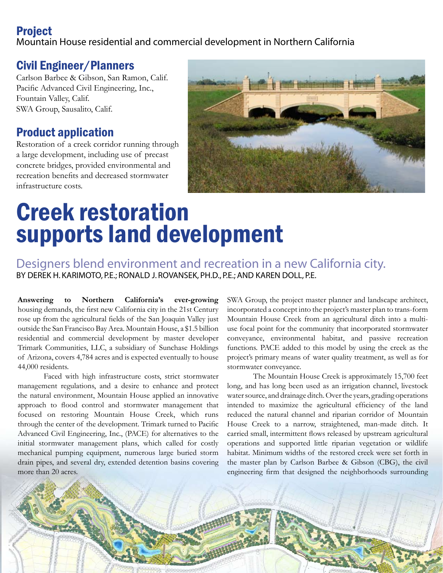## Project

Mountain House residential and commercial development in Northern California

## Civil Engineer/Planners

Carlson Barbee & Gibson, San Ramon, Calif. Pacific Advanced Civil Engineering, Inc., Fountain Valley, Calif. SWA Group, Sausalito, Calif.

## Product application

Restoration of a creek corridor running through a large development, including use of precast concrete bridges, provided environmental and recreation benefits and decreased stormwater infrastructure costs.



## Creek restoration supports land development

Designers blend environment and recreation in a new California city. BY DEREK H. KARIMOTO, P.E.; RONALD J. ROVANSEK, PH.D., P.E.; AND KAREN DOLL, P.E.

**Answering to Northern California's ever-growing** housing demands, the first new California city in the 21st Century rose up from the agricultural fields of the San Joaquin Valley just outside the San Francisco Bay Area. Mountain House, a \$1.5 billion residential and commercial development by master developer Trimark Communities, LLC, a subsidiary of Sunchase Holdings of Arizona, covers 4,784 acres and is expected eventually to house 44,000 residents.

Faced with high infrastructure costs, strict stormwater management regulations, and a desire to enhance and protect the natural environment, Mountain House applied an innovative approach to flood control and stormwater management that focused on restoring Mountain House Creek, which runs through the center of the development. Trimark turned to Pacific Advanced Civil Engineering, Inc., (PACE) for alternatives to the initial stormwater management plans, which called for costly mechanical pumping equipment, numerous large buried storm drain pipes, and several dry, extended detention basins covering more than 20 acres.

SWA Group, the project master planner and landscape architect, incorporated a concept into the project's master plan to trans-form Mountain House Creek from an agricultural ditch into a multiuse focal point for the community that incorporated stormwater conveyance, environmental habitat, and passive recreation functions. PACE added to this model by using the creek as the project's primary means of water quality treatment, as well as for stormwater conveyance.

The Mountain House Creek is approximately 15,700 feet long, and has long been used as an irrigation channel, livestock water source, and drainage ditch. Over the years, grading operations intended to maximize the agricultural efficiency of the land reduced the natural channel and riparian corridor of Mountain House Creek to a narrow, straightened, man-made ditch. It carried small, intermittent flows released by upstream agricultural operations and supported little riparian vegetation or wildlife habitat. Minimum widths of the restored creek were set forth in the master plan by Carlson Barbee & Gibson (CBG), the civil engineering firm that designed the neighborhoods surrounding

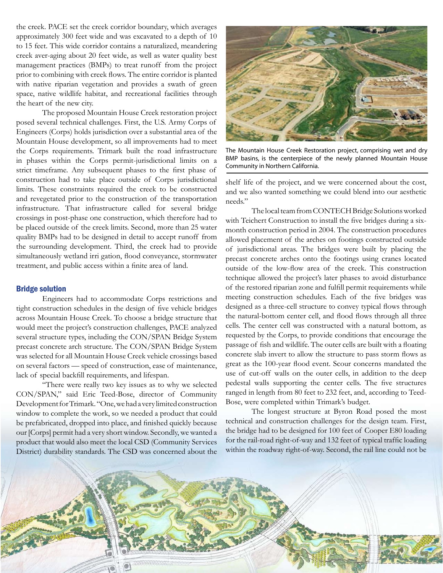the creek. PACE set the creek corridor boundary, which averages approximately 300 feet wide and was excavated to a depth of 10 to 15 feet. This wide corridor contains a naturalized, meandering creek aver-aging about 20 feet wide, as well as water quality best management practices (BMPs) to treat runoff from the project prior to combining with creek flows. The entire corridor is planted with native riparian vegetation and provides a swath of green space, native wildlife habitat, and recreational facilities through the heart of the new city.

The proposed Mountain House Creek restoration project posed several technical challenges. First, the U.S. Army Corps of Engineers (Corps) holds jurisdiction over a substantial area of the Mountain House development, so all improvements had to meet the Corps requirements. Trimark built the road infrastructure in phases within the Corps permit-jurisdictional limits on a strict timeframe. Any subsequent phases to the first phase of construction had to take place outside of Corps jurisdictional limits. These constraints required the creek to be constructed and revegetated prior to the construction of the transportation infrastructure. That infrastructure called for several bridge crossings in post-phase one construction, which therefore had to be placed outside of the creek limits. Second, more than 25 water quality BMPs had to be designed in detail to accept runoff from the surrounding development. Third, the creek had to provide simultaneously wetland irri gation, flood conveyance, stormwater treatment, and public access within a finite area of land.

#### Bridge solution

Engineers had to accommodate Corps restrictions and tight construction schedules in the design of five vehicle bridges across Mountain House Creek. To choose a bridge structure that would meet the project's construction challenges, PACE analyzed several structure types, including the CON/SPAN Bridge System precast concrete arch structure. The CON/SPAN Bridge System was selected for all Mountain House Creek vehicle crossings based on several factors — speed of construction, ease of maintenance, lack of special backfill requirements, and lifespan.

"There were really two key issues as to why we selected CON/SPAN," said Eric Teed-Bose, director of Community Development for Trimark. "One, we had a very limited construction window to complete the work, so we needed a product that could be prefabricated, dropped into place, and finished quickly because our [Corps] permit had a very short window. Secondly, we wanted a product that would also meet the local CSD (Community Services District) durability standards. The CSD was concerned about the



The Mountain House Creek Restoration project, comprising wet and dry BMP basins, is the centerpiece of the newly planned Mountain House Community in Northern California.

shelf life of the project, and we were concerned about the cost, and we also wanted something we could blend into our aesthetic needs."

The local team from CONTECH Bridge Solutions worked with Teichert Construction to install the five bridges during a sixmonth construction period in 2004. The construction procedures allowed placement of the arches on footings constructed outside of jurisdictional areas. The bridges were built by placing the precast concrete arches onto the footings using cranes located outside of the low-flow area of the creek. This construction technique allowed the project's later phases to avoid disturbance of the restored riparian zone and fulfill permit requirements while meeting construction schedules. Each of the five bridges was designed as a three-cell structure to convey typical flows through the natural-bottom center cell, and flood flows through all three cells. The center cell was constructed with a natural bottom, as requested by the Corps, to provide conditions that encourage the passage of fish and wildlife. The outer cells are built with a floating concrete slab invert to allow the structure to pass storm flows as great as the 100-year flood event. Scour concerns mandated the use of cut-off walls on the outer cells, in addition to the deep pedestal walls supporting the center cells. The five structures ranged in length from 80 feet to 232 feet, and, according to Teed-Bose, were completed within Trimark's budget.

The longest structure at Byron Road posed the most technical and construction challenges for the design team. First, the bridge had to be designed for 100 feet of Cooper E80 loading for the rail-road right-of-way and 132 feet of typical traffic loading within the roadway right-of-way. Second, the rail line could not be

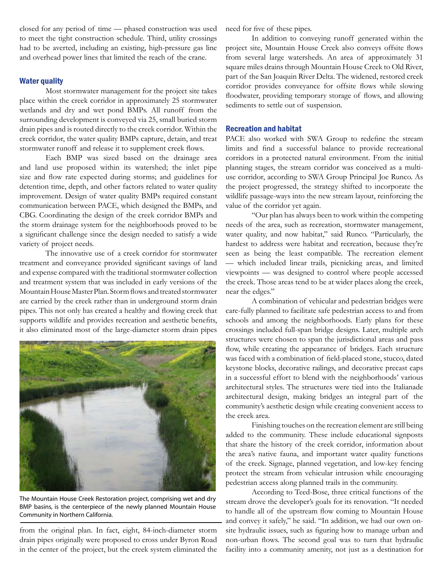closed for any period of time — phased construction was used to meet the tight construction schedule. Third, utility crossings had to be averted, including an existing, high-pressure gas line and overhead power lines that limited the reach of the crane.

### Water quality

Most stormwater management for the project site takes place within the creek corridor in approximately 25 stormwater wetlands and dry and wet pond BMPs. All runoff from the surrounding development is conveyed via 25, small buried storm drain pipes and is routed directly to the creek corridor. Within the creek corridor, the water quality BMPs capture, detain, and treat stormwater runoff and release it to supplement creek flows.

Each BMP was sized based on the drainage area and land use proposed within its watershed; the inlet pipe size and flow rate expected during storms; and guidelines for detention time, depth, and other factors related to water quality improvement. Design of water quality BMPs required constant communication between PACE, which designed the BMPs, and CBG. Coordinating the design of the creek corridor BMPs and the storm drainage system for the neighborhoods proved to be a significant challenge since the design needed to satisfy a wide variety of project needs.

The innovative use of a creek corridor for stormwater treatment and conveyance provided significant savings of land and expense compared with the traditional stormwater collection and treatment system that was included in early versions of the Mountain House Master Plan. Storm flows and treated stormwater are carried by the creek rather than in underground storm drain pipes. This not only has created a healthy and flowing creek that supports wildlife and provides recreation and aesthetic benefits, it also eliminated most of the large-diameter storm drain pipes



The Mountain House Creek Restoration project, comprising wet and dry BMP basins, is the centerpiece of the newly planned Mountain House Community in Northern California.

from the original plan. In fact, eight, 84-inch-diameter storm drain pipes originally were proposed to cross under Byron Road in the center of the project, but the creek system eliminated the need for five of these pipes.

In addition to conveying runoff generated within the project site, Mountain House Creek also conveys offsite flows from several large watersheds. An area of approximately 31 square miles drains through Mountain House Creek to Old River, part of the San Joaquin River Delta. The widened, restored creek corridor provides conveyance for offsite flows while slowing floodwater, providing temporary storage of flows, and allowing sediments to settle out of suspension.

### Recreation and habitat

PACE also worked with SWA Group to redefine the stream limits and find a successful balance to provide recreational corridors in a protected natural environment. From the initial planning stages, the stream corridor was conceived as a multiuse corridor, according to SWA Group Principal Joe Runco. As the project progressed, the strategy shifted to incorporate the wildlife passage-ways into the new stream layout, reinforcing the value of the corridor yet again.

"Our plan has always been to work within the competing needs of the area, such as recreation, stormwater management, water quality, and now habitat," said Runco. "Particularly, the hardest to address were habitat and recreation, because they're seen as being the least compatible. The recreation element — which included linear trails, picnicking areas, and limited viewpoints — was designed to control where people accessed the creek. Those areas tend to be at wider places along the creek, near the edges."

A combination of vehicular and pedestrian bridges were care-fully planned to facilitate safe pedestrian access to and from schools and among the neighborhoods. Early plans for these crossings included full-span bridge designs. Later, multiple arch structures were chosen to span the jurisdictional areas and pass flow, while creating the appearance of bridges. Each structure was faced with a combination of field-placed stone, stucco, dated keystone blocks, decorative railings, and decorative precast caps in a successful effort to blend with the neighborhoods' various architectural styles. The structures were tied into the Italianade architectural design, making bridges an integral part of the community's aesthetic design while creating convenient access to the creek area.

Finishing touches on the recreation element are still being added to the community. These include educational signposts that share the history of the creek corridor, information about the area's native fauna, and important water quality functions of the creek. Signage, planned vegetation, and low-key fencing protect the stream from vehicular intrusion while encouraging pedestrian access along planned trails in the community.

According to Teed-Bose, three critical functions of the stream drove the developer's goals for its renovation. "It needed to handle all of the upstream flow coming to Mountain House and convey it safely," he said. "In addition, we had our own onsite hydraulic issues, such as figuring how to manage urban and non-urban flows. The second goal was to turn that hydraulic facility into a community amenity, not just as a destination for